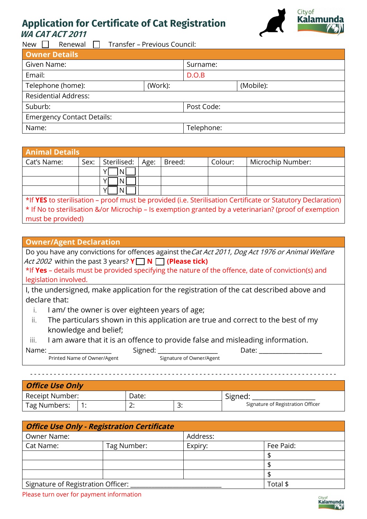## **Application for Certificate of Cat Registration WA CAT ACT 2011**



New  $\Box$  Renewal  $\Box$  Transfer – Previous Council:

|         | Surname:   |           |  |  |  |
|---------|------------|-----------|--|--|--|
|         | D.O.B      |           |  |  |  |
| (Work): |            | (Mobile): |  |  |  |
|         |            |           |  |  |  |
|         | Post Code: |           |  |  |  |
|         |            |           |  |  |  |
|         | Telephone: |           |  |  |  |
|         |            |           |  |  |  |

| <b>Animal Details</b>                                                                                 |                                                                                                             |             |      |        |         |                   |  |  |  |  |
|-------------------------------------------------------------------------------------------------------|-------------------------------------------------------------------------------------------------------------|-------------|------|--------|---------|-------------------|--|--|--|--|
| Cat's Name:                                                                                           | Sex:                                                                                                        | Sterilised: | Age: | Breed: | Colour: | Microchip Number: |  |  |  |  |
|                                                                                                       |                                                                                                             | N.          |      |        |         |                   |  |  |  |  |
|                                                                                                       |                                                                                                             |             |      |        |         |                   |  |  |  |  |
|                                                                                                       |                                                                                                             |             |      |        |         |                   |  |  |  |  |
|                                                                                                       | *If YES to sterilisation – proof must be provided (i.e. Sterilisation Certificate or Statutory Declaration) |             |      |        |         |                   |  |  |  |  |
| * If No to sterilisation &/or Microchip - Is exemption granted by a veterinarian? (proof of exemption |                                                                                                             |             |      |        |         |                   |  |  |  |  |
| must be provided)                                                                                     |                                                                                                             |             |      |        |         |                   |  |  |  |  |

## **Owner/Agent Declaration**

Do you have any convictions for offences against the Cat Act 2011, Dog Act 1976 or Animal Welfare Act 2002 within the past 3 years? **Y N (Please tick)**

\*If **Yes** – details must be provided specifying the nature of the offence, date of conviction(s) and legislation involved.

I, the undersigned, make application for the registration of the cat described above and declare that:

- i. I am/ the owner is over eighteen years of age;
- ii. The particulars shown in this application are true and correct to the best of my knowledge and belief;
- iii. I am aware that it is an offence to provide false and misleading information.

| Name:                       | Signed                   | Jate |  |  |  |  |
|-----------------------------|--------------------------|------|--|--|--|--|
| Printed Name of Owner/Agent | Signature of Owner/Agent |      |  |  |  |  |
|                             |                          |      |  |  |  |  |

**Office Use Only**

| ' Receipt Number: |  | Date:    |          | Signed:                           |  |  |  |  |  |  |  |
|-------------------|--|----------|----------|-----------------------------------|--|--|--|--|--|--|--|
| Tag Numbers:      |  | <u>.</u> | <u>.</u> | Signature of Registration Officer |  |  |  |  |  |  |  |

| <b>Office Use Only - Registration Certificate</b> |             |          |           |  |  |  |  |  |  |  |
|---------------------------------------------------|-------------|----------|-----------|--|--|--|--|--|--|--|
| Owner Name:                                       |             | Address: |           |  |  |  |  |  |  |  |
| Cat Name:                                         | Tag Number: | Expiry:  | Fee Paid: |  |  |  |  |  |  |  |
|                                                   |             |          |           |  |  |  |  |  |  |  |
|                                                   |             |          |           |  |  |  |  |  |  |  |
|                                                   |             |          | -S        |  |  |  |  |  |  |  |
| Signature of Registration Officer:                |             |          | Total \$  |  |  |  |  |  |  |  |

Please turn over for payment information